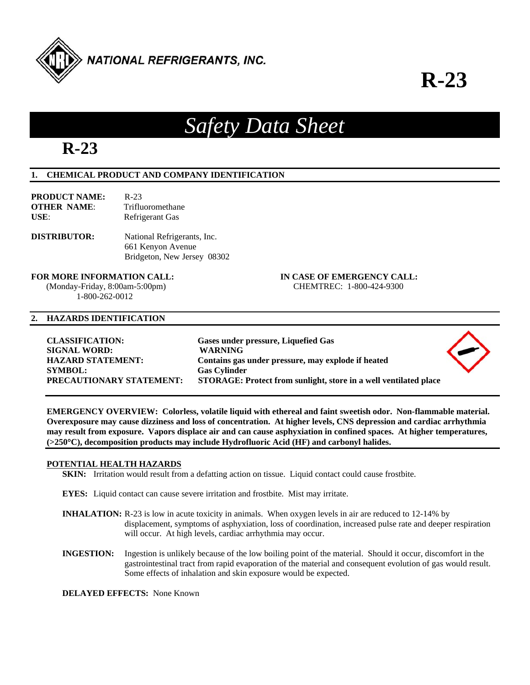

## **R-23**

# **R-23**

## **1. CHEMICAL PRODUCT AND COMPANY IDENTIFICATION**

| <b>PRODUCT NAME:</b> | $R-23$           |
|----------------------|------------------|
| <b>OTHER NAME:</b>   | Trifluoromethane |
| USE:                 | Refrigerant Gas  |
|                      |                  |

**DISTRIBUTOR:** National Refrigerants, Inc. 661 Kenyon Avenue Bridgeton, New Jersey 08302

 (Monday-Friday, 8:00am-5:00pm) CHEMTREC: 1-800-424-9300 1-800-262-0012

**FOR MORE INFORMATION CALL: IN CASE OF EMERGENCY CALL:** 

## **2. HAZARDS IDENTIFICATION**

| <b>CLASSIFICATION:</b>          | Gases under pressure, Liquefied Gas                              |  |
|---------------------------------|------------------------------------------------------------------|--|
| <b>SIGNAL WORD:</b>             | <b>WARNING</b>                                                   |  |
| <b>HAZARD STATEMENT:</b>        | Contains gas under pressure, may explode if heated               |  |
| <b>SYMBOL:</b>                  | <b>Gas Cylinder</b>                                              |  |
| <b>PRECAUTIONARY STATEMENT:</b> | STORAGE: Protect from sunlight, store in a well ventilated place |  |

*Safety Data Sheet* 

**EMERGENCY OVERVIEW: Colorless, volatile liquid with ethereal and faint sweetish odor. Non-flammable material. Overexposure may cause dizziness and loss of concentration. At higher levels, CNS depression and cardiac arrhythmia may result from exposure. Vapors displace air and can cause asphyxiation in confined spaces. At higher temperatures, (>250C), decomposition products may include Hydrofluoric Acid (HF) and carbonyl halides.** 

## **POTENTIAL HEALTH HAZARDS**

**SKIN:** Irritation would result from a defatting action on tissue. Liquid contact could cause frostbite.

**EYES:** Liquid contact can cause severe irritation and frostbite. Mist may irritate.

- **INHALATION:** R-23 is low in acute toxicity in animals. When oxygen levels in air are reduced to 12-14% by displacement, symptoms of asphyxiation, loss of coordination, increased pulse rate and deeper respiration will occur. At high levels, cardiac arrhythmia may occur.
- **INGESTION:** Ingestion is unlikely because of the low boiling point of the material. Should it occur, discomfort in the gastrointestinal tract from rapid evaporation of the material and consequent evolution of gas would result. Some effects of inhalation and skin exposure would be expected.

**DELAYED EFFECTS:** None Known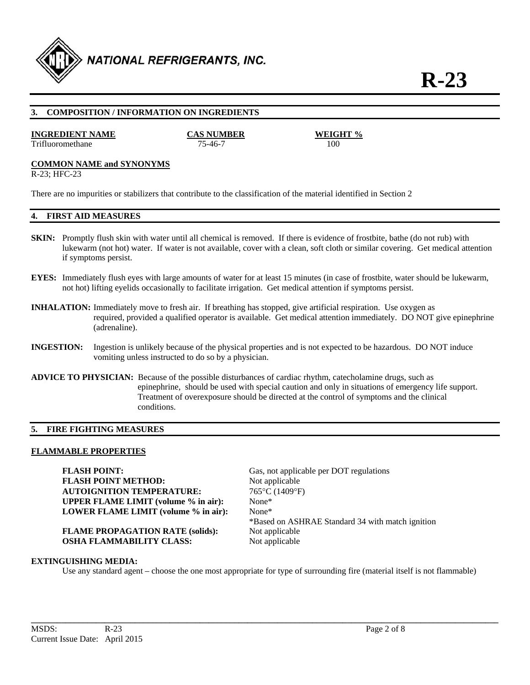

## **3. COMPOSITION / INFORMATION ON INGREDIENTS**

#### **INGREDIENT NAME CAS NUMBER WEIGHT %**

Trifluoromethane 75-46-7 100

#### **COMMON NAME and SYNONYMS**

R-23; HFC-23

There are no impurities or stabilizers that contribute to the classification of the material identified in Section 2

## **4. FIRST AID MEASURES**

- **SKIN:** Promptly flush skin with water until all chemical is removed. If there is evidence of frostbite, bathe (do not rub) with lukewarm (not hot) water. If water is not available, cover with a clean, soft cloth or similar covering. Get medical attention if symptoms persist.
- **EYES:** Immediately flush eyes with large amounts of water for at least 15 minutes (in case of frostbite, water should be lukewarm, not hot) lifting eyelids occasionally to facilitate irrigation. Get medical attention if symptoms persist.
- **INHALATION:** Immediately move to fresh air. If breathing has stopped, give artificial respiration. Use oxygen as required, provided a qualified operator is available. Get medical attention immediately. DO NOT give epinephrine (adrenaline).
- **INGESTION:** Ingestion is unlikely because of the physical properties and is not expected to be hazardous. DO NOT induce vomiting unless instructed to do so by a physician.
- **ADVICE TO PHYSICIAN:** Because of the possible disturbances of cardiac rhythm, catecholamine drugs, such as epinephrine, should be used with special caution and only in situations of emergency life support. Treatment of overexposure should be directed at the control of symptoms and the clinical conditions.

#### **5. FIRE FIGHTING MEASURES**

#### **FLAMMABLE PROPERTIES**

**FLASH POINT:** Gas, not applicable per DOT regulations **FLASH POINT METHOD:** Not applicable **AUTOIGNITION TEMPERATURE:** 765°C (1409°F) **UPPER FLAME LIMIT (volume % in air):** None\* **LOWER FLAME LIMIT (volume % in air):** None\*

**FLAME PROPAGATION RATE (solids):** Not applicable **OSHA FLAMMABILITY CLASS:** Not applicable

\*Based on ASHRAE Standard 34 with match ignition

#### **EXTINGUISHING MEDIA:**

Use any standard agent – choose the one most appropriate for type of surrounding fire (material itself is not flammable)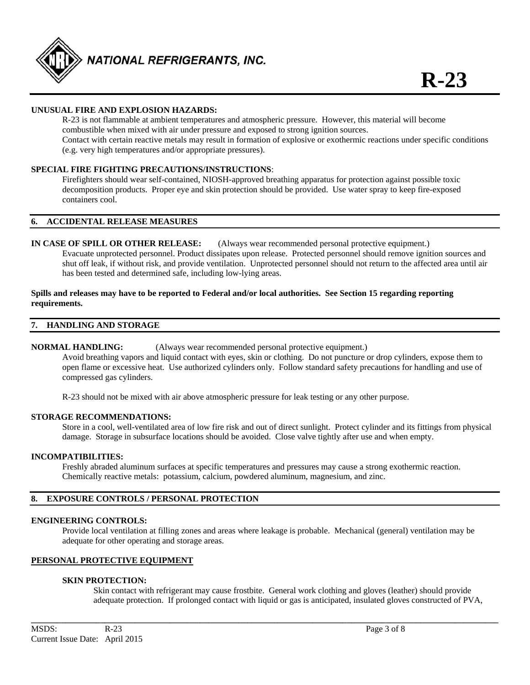

## **UNUSUAL FIRE AND EXPLOSION HAZARDS:**

 R-23 is not flammable at ambient temperatures and atmospheric pressure. However, this material will become combustible when mixed with air under pressure and exposed to strong ignition sources. Contact with certain reactive metals may result in formation of explosive or exothermic reactions under specific conditions (e.g. very high temperatures and/or appropriate pressures).

#### **SPECIAL FIRE FIGHTING PRECAUTIONS/INSTRUCTIONS**:

 Firefighters should wear self-contained, NIOSH-approved breathing apparatus for protection against possible toxic decomposition products. Proper eye and skin protection should be provided. Use water spray to keep fire-exposed containers cool.

#### **6. ACCIDENTAL RELEASE MEASURES**

**IN CASE OF SPILL OR OTHER RELEASE:** (Always wear recommended personal protective equipment.) Evacuate unprotected personnel. Product dissipates upon release. Protected personnel should remove ignition sources and shut off leak, if without risk, and provide ventilation. Unprotected personnel should not return to the affected area until air has been tested and determined safe, including low-lying areas.

#### **Spills and releases may have to be reported to Federal and/or local authorities. See Section 15 regarding reporting requirements.**

#### **7. HANDLING AND STORAGE**

#### **NORMAL HANDLING:** (Always wear recommended personal protective equipment.)

 Avoid breathing vapors and liquid contact with eyes, skin or clothing. Do not puncture or drop cylinders, expose them to open flame or excessive heat. Use authorized cylinders only. Follow standard safety precautions for handling and use of compressed gas cylinders.

R-23 should not be mixed with air above atmospheric pressure for leak testing or any other purpose.

#### **STORAGE RECOMMENDATIONS:**

 Store in a cool, well-ventilated area of low fire risk and out of direct sunlight. Protect cylinder and its fittings from physical damage. Storage in subsurface locations should be avoided. Close valve tightly after use and when empty.

#### **INCOMPATIBILITIES:**

Freshly abraded aluminum surfaces at specific temperatures and pressures may cause a strong exothermic reaction. Chemically reactive metals: potassium, calcium, powdered aluminum, magnesium, and zinc.

#### **8. EXPOSURE CONTROLS / PERSONAL PROTECTION**

#### **ENGINEERING CONTROLS:**

 Provide local ventilation at filling zones and areas where leakage is probable. Mechanical (general) ventilation may be adequate for other operating and storage areas.

**\_\_\_\_\_\_\_\_\_\_\_\_\_\_\_\_\_\_\_\_\_\_\_\_\_\_\_\_\_\_\_\_\_\_\_\_\_\_\_\_\_\_\_\_\_\_\_\_\_\_\_\_\_\_\_\_\_\_\_\_\_\_\_\_\_\_\_\_\_\_\_\_\_\_\_\_\_\_\_\_\_\_\_\_\_\_\_\_\_\_\_\_\_\_\_\_\_\_\_\_\_\_\_\_\_\_\_\_** 

## **PERSONAL PROTECTIVE EQUIPMENT**

#### **SKIN PROTECTION:**

 Skin contact with refrigerant may cause frostbite. General work clothing and gloves (leather) should provide adequate protection. If prolonged contact with liquid or gas is anticipated, insulated gloves constructed of PVA,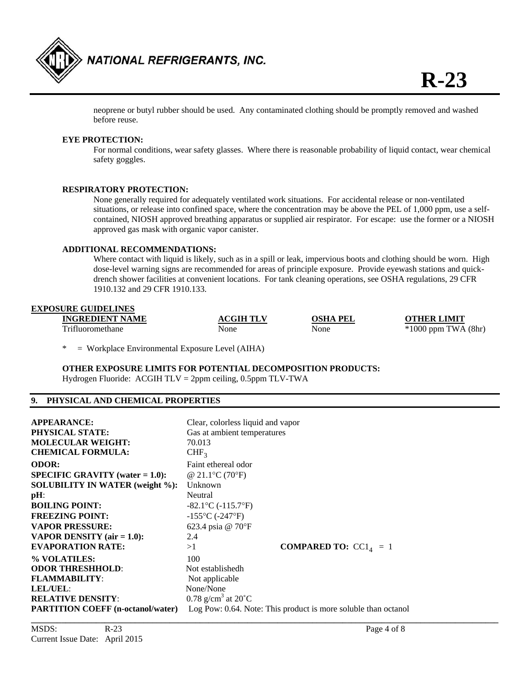

 neoprene or butyl rubber should be used. Any contaminated clothing should be promptly removed and washed before reuse.

#### **EYE PROTECTION:**

For normal conditions, wear safety glasses. Where there is reasonable probability of liquid contact, wear chemical safety goggles.

#### **RESPIRATORY PROTECTION:**

 None generally required for adequately ventilated work situations. For accidental release or non-ventilated situations, or release into confined space, where the concentration may be above the PEL of 1,000 ppm, use a self contained, NIOSH approved breathing apparatus or supplied air respirator. For escape: use the former or a NIOSH approved gas mask with organic vapor canister.

#### **ADDITIONAL RECOMMENDATIONS:**

Where contact with liquid is likely, such as in a spill or leak, impervious boots and clothing should be worn. High dose-level warning signs are recommended for areas of principle exposure. Provide eyewash stations and quick drench shower facilities at convenient locations. For tank cleaning operations, see OSHA regulations, 29 CFR 1910.132 and 29 CFR 1910.133.

## **EXPOSURE GUIDELINES INGREDIENT NAME ACGIH TLV OSHA PEL OTHER LIMIT**

Trifluoromethane None None None \*1000 ppm TWA (8hr)

 $=$  Workplace Environmental Exposure Level (AIHA)

**OTHER EXPOSURE LIMITS FOR POTENTIAL DECOMPOSITION PRODUCTS:**  Hydrogen Fluoride: ACGIH TLV = 2ppm ceiling, 0.5ppm TLV-TWA

## **9. PHYSICAL AND CHEMICAL PROPERTIES**

| <b>APPEARANCE:</b><br><b>PHYSICAL STATE:</b><br><b>MOLECULAR WEIGHT:</b><br><b>CHEMICAL FORMULA:</b> | Clear, colorless liquid and vapor<br>Gas at ambient temperatures<br>70.013<br>CHF <sub>3</sub> |  |
|------------------------------------------------------------------------------------------------------|------------------------------------------------------------------------------------------------|--|
| <b>ODOR:</b>                                                                                         | Faint ethereal odor                                                                            |  |
| <b>SPECIFIC GRAVITY</b> (water $= 1.0$ ):                                                            | @ 21.1 °C (70 °F)                                                                              |  |
| <b>SOLUBILITY IN WATER (weight %):</b>                                                               | Unknown                                                                                        |  |
| $pH$ :                                                                                               | Neutral                                                                                        |  |
| <b>BOILING POINT:</b>                                                                                | $-82.1$ °C (-115.7°F)                                                                          |  |
| <b>FREEZING POINT:</b>                                                                               | $-155^{\circ}$ C ( $-247^{\circ}$ F)                                                           |  |
| <b>VAPOR PRESSURE:</b>                                                                               | 623.4 psia @ 70°F                                                                              |  |
| VAPOR DENSITY $(air = 1.0)$ :                                                                        | 2.4                                                                                            |  |
| <b>EVAPORATION RATE:</b>                                                                             | <b>COMPARED TO:</b> $CC14 = 1$<br>>1                                                           |  |
| % VOLATILES:                                                                                         | 100                                                                                            |  |
| <b>ODOR THRESHHOLD:</b>                                                                              | Not establishedh                                                                               |  |
| <b>FLAMMABILITY:</b>                                                                                 | Not applicable                                                                                 |  |
| LEL/UEL:                                                                                             | None/None                                                                                      |  |
| <b>RELATIVE DENSITY:</b>                                                                             | 0.78 g/cm <sup>3</sup> at $20^{\circ}$ C                                                       |  |
| <b>PARTITION COEFF</b> (n-octanol/water)                                                             | Log Pow: 0.64. Note: This product is more soluble than octanol                                 |  |
|                                                                                                      |                                                                                                |  |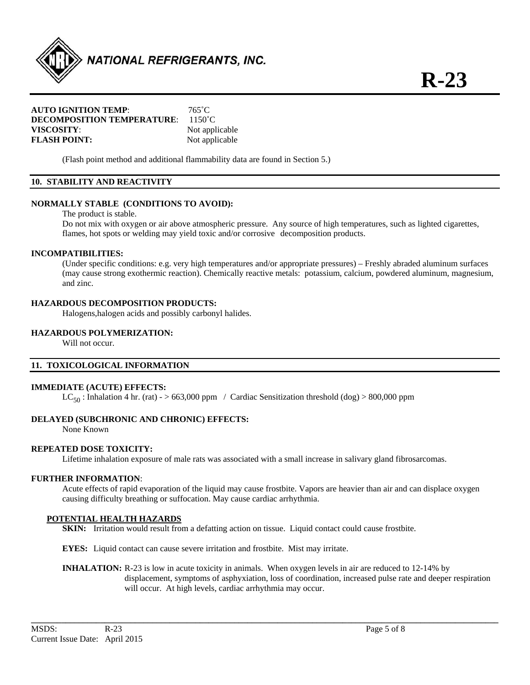

## **AUTO IGNITION TEMP**: 765˚C **DECOMPOSITION TEMPERATURE:** 1150°C **VISCOSITY**: Not applicable **FLASH POINT:** Not applicable

(Flash point method and additional flammability data are found in Section 5.)

## **10. STABILITY AND REACTIVITY**

## **NORMALLY STABLE (CONDITIONS TO AVOID):**

The product is stable.

Do not mix with oxygen or air above atmospheric pressure. Any source of high temperatures, such as lighted cigarettes, flames, hot spots or welding may yield toxic and/or corrosive decomposition products.

#### **INCOMPATIBILITIES:**

 (Under specific conditions: e.g. very high temperatures and/or appropriate pressures) – Freshly abraded aluminum surfaces (may cause strong exothermic reaction). Chemically reactive metals: potassium, calcium, powdered aluminum, magnesium, and zinc.

## **HAZARDOUS DECOMPOSITION PRODUCTS:**

Halogens,halogen acids and possibly carbonyl halides.

## **HAZARDOUS POLYMERIZATION:**

Will not occur.

## **11. TOXICOLOGICAL INFORMATION**

#### **IMMEDIATE (ACUTE) EFFECTS:**

 $LC_{50}$ : Inhalation 4 hr. (rat) - > 663,000 ppm / Cardiac Sensitization threshold (dog) > 800,000 ppm

## **DELAYED (SUBCHRONIC AND CHRONIC) EFFECTS:**

None Known

## **REPEATED DOSE TOXICITY:**

Lifetime inhalation exposure of male rats was associated with a small increase in salivary gland fibrosarcomas.

#### **FURTHER INFORMATION**:

Acute effects of rapid evaporation of the liquid may cause frostbite. Vapors are heavier than air and can displace oxygen causing difficulty breathing or suffocation. May cause cardiac arrhythmia.

## **POTENTIAL HEALTH HAZARDS**

**SKIN:** Irritation would result from a defatting action on tissue. Liquid contact could cause frostbite.

**EYES:** Liquid contact can cause severe irritation and frostbite. Mist may irritate.

**INHALATION:** R-23 is low in acute toxicity in animals. When oxygen levels in air are reduced to 12-14% by displacement, symptoms of asphyxiation, loss of coordination, increased pulse rate and deeper respiration will occur. At high levels, cardiac arrhythmia may occur.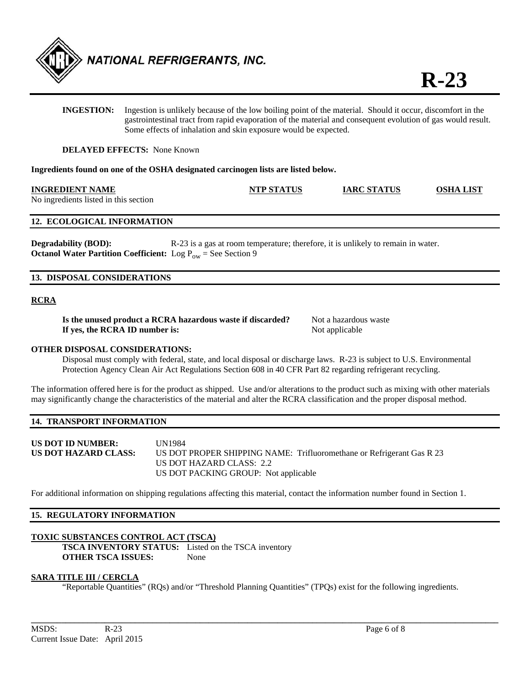

**INGESTION:** Ingestion is unlikely because of the low boiling point of the material. Should it occur, discomfort in the gastrointestinal tract from rapid evaporation of the material and consequent evolution of gas would result. Some effects of inhalation and skin exposure would be expected.

**DELAYED EFFECTS:** None Known

**Ingredients found on one of the OSHA designated carcinogen lists are listed below.** 

| <b>INGREDIENT NAME</b>                | <b>NTP STATUS</b> | <b>IARC STATUS</b> | <b>OSHA LIST</b> |
|---------------------------------------|-------------------|--------------------|------------------|
| No ingredients listed in this section |                   |                    |                  |

## **12. ECOLOGICAL INFORMATION**

**Degradability (BOD):** R-23 is a gas at room temperature; therefore, it is unlikely to remain in water. **Octanol Water Partition Coefficient:** Log  $P_{ow}$  = See Section 9

#### **13. DISPOSAL CONSIDERATIONS**

## **RCRA**

**Is the unused product a RCRA hazardous waste if discarded?** Not a hazardous waste **If yes, the RCRA ID number is:** Not applicable

#### **OTHER DISPOSAL CONSIDERATIONS:**

 Disposal must comply with federal, state, and local disposal or discharge laws. R-23 is subject to U.S. Environmental Protection Agency Clean Air Act Regulations Section 608 in 40 CFR Part 82 regarding refrigerant recycling.

The information offered here is for the product as shipped. Use and/or alterations to the product such as mixing with other materials may significantly change the characteristics of the material and alter the RCRA classification and the proper disposal method.

#### **14. TRANSPORT INFORMATION**

**US DOT ID NUMBER:** UN1984 **US DOT HAZARD CLASS:** US DOT PROPER SHIPPING NAME: Trifluoromethane or Refrigerant Gas R 23 US DOT HAZARD CLASS: 2.2 US DOT PACKING GROUP: Not applicable

For additional information on shipping regulations affecting this material, contact the information number found in Section 1.

#### **15. REGULATORY INFORMATION**

## **TOXIC SUBSTANCES CONTROL ACT (TSCA)**

**TSCA INVENTORY STATUS:** Listed on the TSCA inventory **OTHER TSCA ISSUES:** None

## **SARA TITLE III / CERCLA**

"Reportable Quantities" (RQs) and/or "Threshold Planning Quantities" (TPQs) exist for the following ingredients.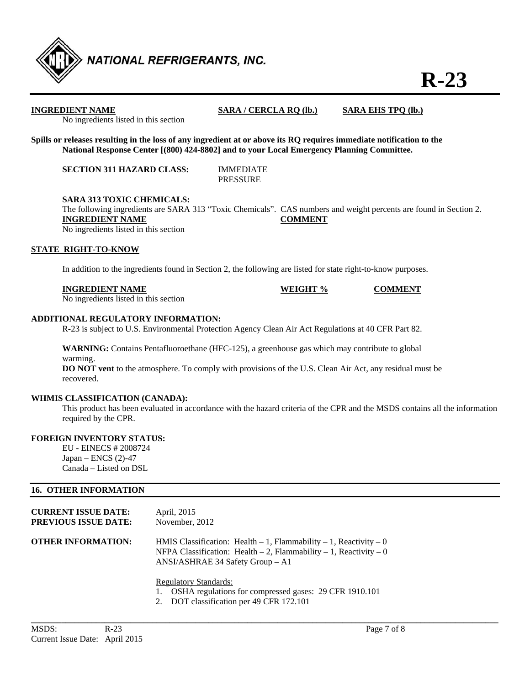

## **INGREDIENT NAME SARA / CERCLA RQ (lb.) SARA EHS TPQ (lb.)**

No ingredients listed in this section

**Spills or releases resulting in the loss of any ingredient at or above its RQ requires immediate notification to the National Response Center [(800) 424-8802] and to your Local Emergency Planning Committee.** 

**SECTION 311 HAZARD CLASS:** IMMEDIATE

PRESSURE

**SARA 313 TOXIC CHEMICALS:** 

 The following ingredients are SARA 313 "Toxic Chemicals". CAS numbers and weight percents are found in Section 2. **INGREDIENT NAME COMMENT** No ingredients listed in this section

## **STATE RIGHT-TO-KNOW**

In addition to the ingredients found in Section 2, the following are listed for state right-to-know purposes.

| <b>INGREDIENT NAME</b> | WEIGHT % | <b>COMMENT</b> |
|------------------------|----------|----------------|
| $\mathbf{A}$           |          |                |

No ingredients listed in this section

## **ADDITIONAL REGULATORY INFORMATION:**

R-23 is subject to U.S. Environmental Protection Agency Clean Air Act Regulations at 40 CFR Part 82.

**WARNING:** Contains Pentafluoroethane (HFC-125), a greenhouse gas which may contribute to global warming.

**DO NOT vent** to the atmosphere. To comply with provisions of the U.S. Clean Air Act, any residual must be recovered.

## **WHMIS CLASSIFICATION (CANADA):**

 This product has been evaluated in accordance with the hazard criteria of the CPR and the MSDS contains all the information required by the CPR.

## **FOREIGN INVENTORY STATUS:**

EU - EINECS # 2008724 Japan – ENCS (2)-47 Canada – Listed on DSL

## **16. OTHER INFORMATION**

| <b>CURRENT ISSUE DATE:</b> | April, 2015                                                                                                                                                                              |
|----------------------------|------------------------------------------------------------------------------------------------------------------------------------------------------------------------------------------|
| PREVIOUS ISSUE DATE:       | November, 2012                                                                                                                                                                           |
| OTHER INFORMATION:         | HMIS Classification: Health $-1$ , Flammability $-1$ , Reactivity $-0$<br>NFPA Classification: Health $-2$ , Flammability $-1$ , Reactivity $-0$<br>$ANSI/ASHRAE$ 34 Safety Group $- A1$ |

Regulatory Standards:

- 1. OSHA regulations for compressed gases: 29 CFR 1910.101
- 2. DOT classification per 49 CFR 172.101